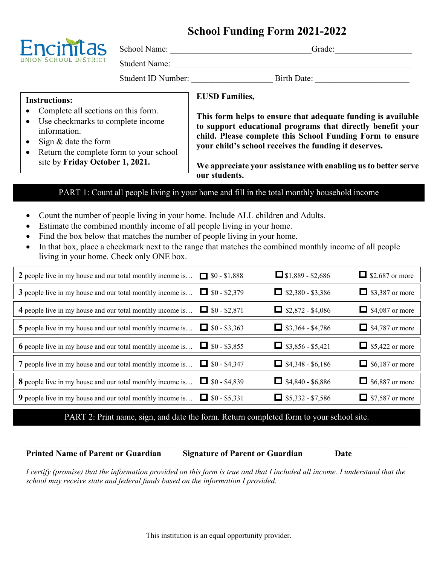# **School Funding Form 2021-2022**



School Name: \_\_\_\_\_\_\_\_\_\_\_\_\_\_\_\_\_\_\_\_\_\_\_\_\_\_\_\_\_\_\_\_\_\_Grade: \_\_\_\_\_\_\_\_\_\_\_\_\_\_\_\_\_\_\_\_\_\_\_\_\_\_

Student Name:

Student ID Number: \_\_\_\_\_\_\_\_\_\_\_\_\_\_\_\_\_\_\_ Birth Date: \_\_\_\_\_\_\_\_\_\_\_\_\_\_\_\_\_\_\_\_\_\_

### **Instructions:**

- Complete all sections on this form.
- Use checkmarks to complete income information.
- Sign & date the form
- Return the complete form to your school site by **Friday October 1, 2021.**

**This form helps to ensure that adequate funding is available to support educational programs that directly benefit your child. Please complete this School Funding Form to ensure your child's school receives the funding it deserves.**

**We appreciate your assistance with enabling us to better serve our students.**

## PART 1: Count all people living in your home and fill in the total monthly household income

**EUSD Families,**

- Count the number of people living in your home. Include ALL children and Adults.
- Estimate the combined monthly income of all people living in your home.
- Find the box below that matches the number of people living in your home.
- In that box, place a checkmark next to the range that matches the combined monthly income of all people living in your home. Check only ONE box.

| 2 people live in my house and our total monthly income is                             | $\Box$ \$0 - \$1,888 | $\Box$ \$1,889 - \$2,686 | $\Box$ \$2,687 or more |
|---------------------------------------------------------------------------------------|----------------------|--------------------------|------------------------|
| <b>3</b> people live in my house and our total monthly income is $\Box$ \$0 - \$2,379 |                      | $\Box$ \$2,380 - \$3,386 | $\Box$ \$3,387 or more |
| 4 people live in my house and our total monthly income is                             | $\Box$ \$0 - \$2,871 | $\Box$ \$2,872 - \$4,086 | $\Box$ \$4,087 or more |
| 5 people live in my house and our total monthly income is                             | $\Box$ \$0 - \$3,363 | $\Box$ \$3,364 - \$4,786 | $\Box$ \$4,787 or more |
| <b>6</b> people live in my house and our total monthly income is                      | $\Box$ \$0 - \$3,855 | $\Box$ \$3,856 - \$5,421 | $\Box$ \$5,422 or more |
| 7 people live in my house and our total monthly income is $\Box$ \$0 - \$4,347        |                      | $\Box$ \$4,348 - \$6,186 | $\Box$ \$6,187 or more |
| 8 people live in my house and our total monthly income is $\Box$ \$0 - \$4,839        |                      | $\Box$ \$4,840 - \$6,886 | $\Box$ \$6,887 or more |
| <b>9</b> people live in my house and our total monthly income is $\Box$ \$0 - \$5,331 |                      | $\Box$ \$5,332 - \$7,586 | $\Box$ \$7,587 or more |

PART 2: Print name, sign, and date the form. Return completed form to your school site.

 $\_$  , and the set of the set of the set of the set of the set of the set of the set of the set of the set of the set of the set of the set of the set of the set of the set of the set of the set of the set of the set of th

**Printed Name of Parent or Guardian Signature of Parent or Guardian Date**

*I certify (promise) that the information provided on this form is true and that I included all income. I understand that the school may receive state and federal funds based on the information I provided.*